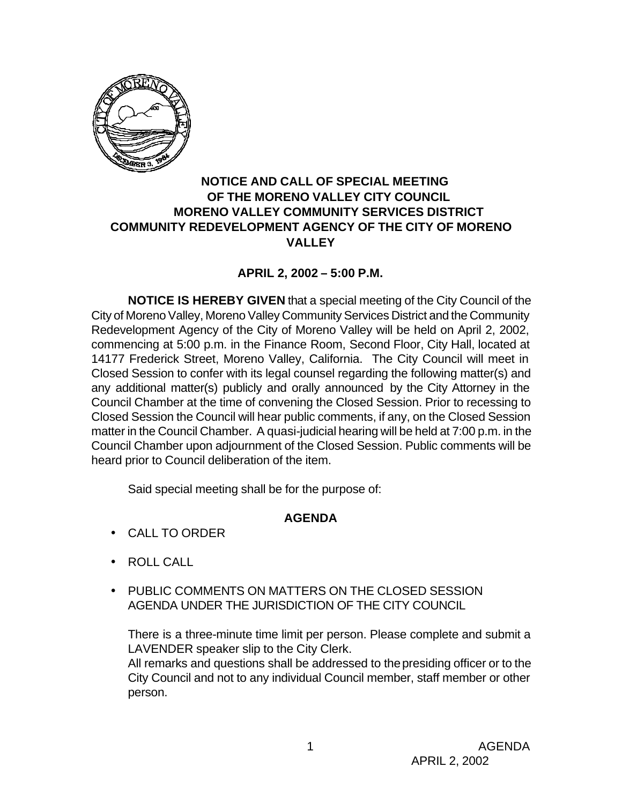

## **NOTICE AND CALL OF SPECIAL MEETING OF THE MORENO VALLEY CITY COUNCIL MORENO VALLEY COMMUNITY SERVICES DISTRICT COMMUNITY REDEVELOPMENT AGENCY OF THE CITY OF MORENO VALLEY**

## **APRIL 2, 2002 – 5:00 P.M.**

**NOTICE IS HEREBY GIVEN** that a special meeting of the City Council of the City of Moreno Valley, Moreno Valley Community Services District and the Community Redevelopment Agency of the City of Moreno Valley will be held on April 2, 2002, commencing at 5:00 p.m. in the Finance Room, Second Floor, City Hall, located at 14177 Frederick Street, Moreno Valley, California. The City Council will meet in Closed Session to confer with its legal counsel regarding the following matter(s) and any additional matter(s) publicly and orally announced by the City Attorney in the Council Chamber at the time of convening the Closed Session. Prior to recessing to Closed Session the Council will hear public comments, if any, on the Closed Session matter in the Council Chamber. A quasi-judicial hearing will be held at 7:00 p.m. in the Council Chamber upon adjournment of the Closed Session. Public comments will be heard prior to Council deliberation of the item.

Said special meeting shall be for the purpose of:

# **AGENDA**

- CALL TO ORDER
- ROLL CALL
- PUBLIC COMMENTS ON MATTERS ON THE CLOSED SESSION AGENDA UNDER THE JURISDICTION OF THE CITY COUNCIL

There is a three-minute time limit per person. Please complete and submit a LAVENDER speaker slip to the City Clerk.

All remarks and questions shall be addressed to the presiding officer or to the City Council and not to any individual Council member, staff member or other person.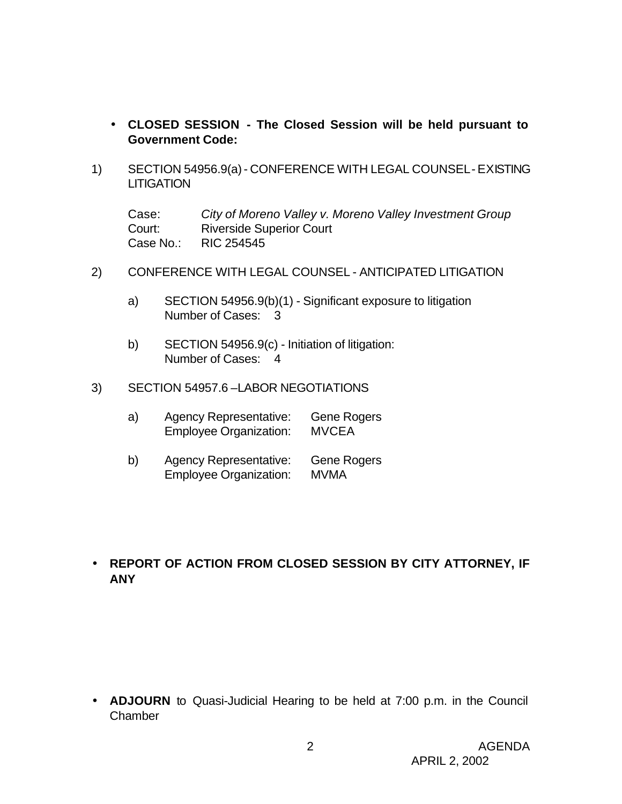- **CLOSED SESSION - The Closed Session will be held pursuant to Government Code:**
- 1) SECTION 54956.9(a) CONFERENCE WITH LEGAL COUNSEL EXISTING **LITIGATION**

Case: *City of Moreno Valley v. Moreno Valley Investment Group* Court: Riverside Superior Court Case No.: RIC 254545

- 2) CONFERENCE WITH LEGAL COUNSEL ANTICIPATED LITIGATION
	- a) SECTION 54956.9(b)(1) Significant exposure to litigation Number of Cases: 3
	- b) SECTION 54956.9(c) Initiation of litigation: Number of Cases: 4
- 3) SECTION 54957.6 –LABOR NEGOTIATIONS
	- a) Agency Representative: Gene Rogers Employee Organization: MVCEA
	- b) Agency Representative: Gene Rogers Employee Organization: MVMA

## • **REPORT OF ACTION FROM CLOSED SESSION BY CITY ATTORNEY, IF ANY**

• **ADJOURN** to Quasi-Judicial Hearing to be held at 7:00 p.m. in the Council Chamber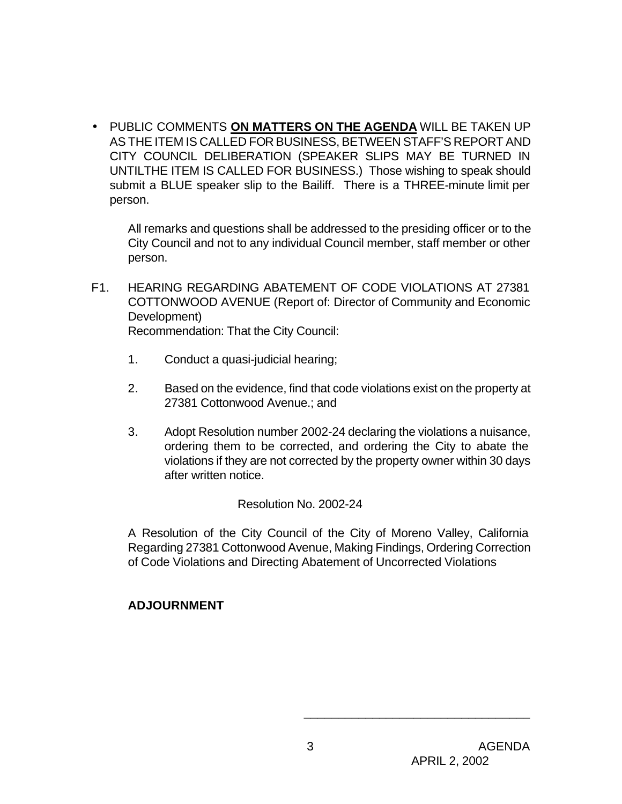• PUBLIC COMMENTS **ON MATTERS ON THE AGENDA** WILL BE TAKEN UP AS THE ITEM IS CALLED FOR BUSINESS, BETWEEN STAFF'S REPORT AND CITY COUNCIL DELIBERATION (SPEAKER SLIPS MAY BE TURNED IN UNTILTHE ITEM IS CALLED FOR BUSINESS.) Those wishing to speak should submit a BLUE speaker slip to the Bailiff. There is a THREE-minute limit per person.

All remarks and questions shall be addressed to the presiding officer or to the City Council and not to any individual Council member, staff member or other person.

- F1. HEARING REGARDING ABATEMENT OF CODE VIOLATIONS AT 27381 COTTONWOOD AVENUE (Report of: Director of Community and Economic Development) Recommendation: That the City Council:
	- 1. Conduct a quasi-judicial hearing;
	- 2. Based on the evidence, find that code violations exist on the property at 27381 Cottonwood Avenue.; and
	- 3. Adopt Resolution number 2002-24 declaring the violations a nuisance, ordering them to be corrected, and ordering the City to abate the violations if they are not corrected by the property owner within 30 days after written notice.

Resolution No. 2002-24

A Resolution of the City Council of the City of Moreno Valley, California Regarding 27381 Cottonwood Avenue, Making Findings, Ordering Correction of Code Violations and Directing Abatement of Uncorrected Violations

# **ADJOURNMENT**

\_\_\_\_\_\_\_\_\_\_\_\_\_\_\_\_\_\_\_\_\_\_\_\_\_\_\_\_\_\_\_\_\_